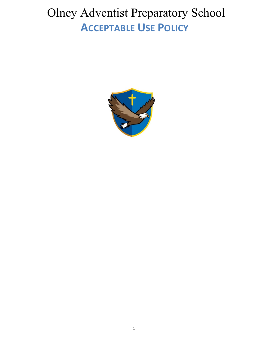# Olney Adventist Preparatory School **ACCEPTABLE USE POLICY**

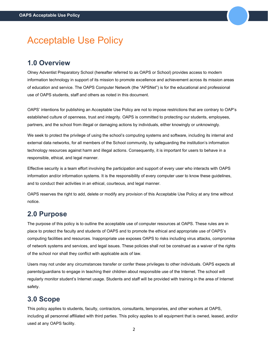# Acceptable Use Policy

### **1.0 Overview**

Olney Adventist Preparatory School (hereafter referred to as OAPS or School) provides access to modern information technology in support of its mission to promote excellence and achievement across its mission areas of education and service. The OAPS Computer Network (the "APSNet") is for the educational and professional use of OAPS students, staff and others as noted in this document.

OAPS' intentions for publishing an Acceptable Use Policy are not to impose restrictions that are contrary to OAP's established culture of openness, trust and integrity. OAPS is committed to protecting our students, employees, partners, and the school from illegal or damaging actions by individuals, either knowingly or unknowingly.

We seek to protect the privilege of using the school's computing systems and software, including its internal and external data networks, for all members of the School community, by safeguarding the institution's information technology resources against harm and illegal actions. Consequently, it is important for users to behave in a responsible, ethical, and legal manner.

Effective security is a team effort involving the participation and support of every user who interacts with OAPS information and/or information systems. It is the responsibility of every computer user to know these guidelines, and to conduct their activities in an ethical, courteous, and legal manner.

OAPS reserves the right to add, delete or modify any provision of this Acceptable Use Policy at any time without notice.

### **2.0 Purpose**

The purpose of this policy is to outline the acceptable use of computer resources at OAPS. These rules are in place to protect the faculty and students of OAPS and to promote the ethical and appropriate use of OAPS's computing facilities and resources. Inappropriate use exposes OAPS to risks including virus attacks, compromise of network systems and services, and legal issues. These policies shall not be construed as a waiver of the rights of the school nor shall they conflict with applicable acts of law.

Users may not under any circumstances transfer or confer these privileges to other individuals. OAPS expects all parents/guardians to engage in teaching their children about responsible use of the Internet. The school will regularly monitor student's Internet usage. Students and staff will be provided with training in the area of Internet safety.

### **3.0 Scope**

This policy applies to students, faculty, contractors, consultants, temporaries, and other workers at OAPS, including all personnel affiliated with third parties. This policy applies to all equipment that is owned, leased, and/or used at any OAPS facility.

2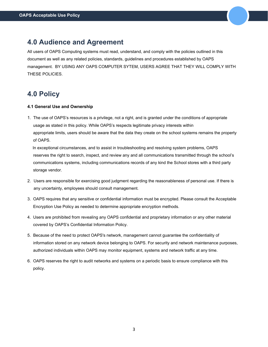### **4.0 Audience and Agreement**

All users of OAPS Computing systems must read, understand, and comply with the policies outlined in this document as well as any related policies, standards, guidelines and procedures established by OAPS management. BY USING ANY OAPS COMPUTER SYTEM, USERS AGREE THAT THEY WILL COMPLY WITH THESE POLICIES.

### **4.0 Policy**

#### **4.1 General Use and Ownership**

1. The use of OAPS's resources is a privilege, not a right, and is granted under the conditions of appropriate usage as stated in this policy. While OAPS's respects legitimate privacy interests within appropriate limits, users should be aware that the data they create on the school systems remains the property of OAPS.

In exceptional circumstances, and to assist in troubleshooting and resolving system problems, OAPS reserves the right to search, inspect, and review any and all communications transmitted through the school's communications systems, including communications records of any kind the School stores with a third party storage vendor.

- 2. Users are responsible for exercising good judgment regarding the reasonableness of personal use. If there is any uncertainty, employees should consult management.
- 3. OAPS requires that any sensitive or confidential information must be encrypted. Please consult the Acceptable Encryption Use Policy as needed to determine appropriate encryption methods.
- 4. Users are prohibited from revealing any OAPS confidential and proprietary information or any other material covered by OAPS's Confidential Information Policy.
- 5. Because of the need to protect OAPS's network, management cannot guarantee the confidentiality of information stored on any network device belonging to OAPS. For security and network maintenance purposes, authorized individuals within OAPS may monitor equipment, systems and network traffic at any time.
- 6. OAPS reserves the right to audit networks and systems on a periodic basis to ensure compliance with this policy.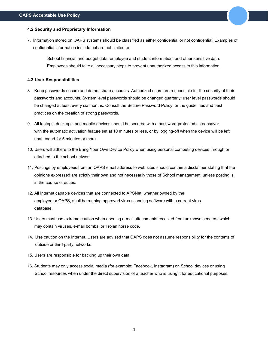#### **4.2 Security and Proprietary Information**

7. Information stored on OAPS systems should be classified as either confidential or not confidential. Examples of confidential information include but are not limited to:

School financial and budget data, employee and student information, and other sensitive data. Employees should take all necessary steps to prevent unauthorized access to this information.

#### **4.3 User Responsibilities**

- 8. Keep passwords secure and do not share accounts. Authorized users are responsible for the security of their passwords and accounts. System level passwords should be changed quarterly; user level passwords should be changed at least every six months. Consult the Secure Password Policy for the guidelines and best practices on the creation of strong passwords.
- 9. All laptops, desktops, and mobile devices should be secured with a password-protected screensaver with the automatic activation feature set at 10 minutes or less, or by logging-off when the device will be left unattended for 5 minutes or more.
- 10. Users will adhere to the Bring Your Own Device Policy when using personal computing devices through or attached to the school network.
- 11. Postings by employees from an OAPS email address to web sites should contain a disclaimer stating that the opinions expressed are strictly their own and not necessarily those of School management, unless posting is in the course of duties.
- 12. All Internet capable devices that are connected to APSNet, whether owned by the employee or OAPS, shall be running approved virus-scanning software with a current virus database.
- 13. Users must use extreme caution when opening e-mail attachments received from unknown senders, which may contain viruses, e-mail bombs, or Trojan horse code.
- 14. Use caution on the Internet. Users are advised that OAPS does not assume responsibility for the contents of outside or third-party networks.
- 15. Users are responsible for backing up their own data.
- 16. Students may only access social media (for example: Facebook, Instagram) on School devices or using School resources when under the direct supervision of a teacher who is using it for educational purposes.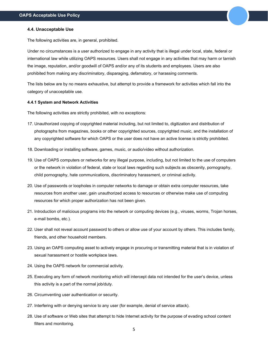#### **4.4. Unacceptable Use**

The following activities are, in general, prohibited.

Under no circumstances is a user authorized to engage in any activity that is illegal under local, state, federal or international law while utilizing OAPS resources. Users shall not engage in any activities that may harm or tarnish the image, reputation, and/or goodwill of OAPS and/or any of its students and employees. Users are also prohibited from making any discriminatory, disparaging, defamatory, or harassing comments.

The lists below are by no means exhaustive, but attempt to provide a framework for activities which fall into the category of unacceptable use.

#### **4.4.1 System and Network Activities**

The following activities are strictly prohibited, with no exceptions:

- 17. Unauthorized copying of copyrighted material including, but not limited to, digitization and distribution of photographs from magazines, books or other copyrighted sources, copyrighted music, and the installation of any copyrighted software for which OAPS or the user does not have an active license is strictly prohibited.
- 18. Downloading or installing software, games, music, or audio/video without authorization.
- 19. Use of OAPS computers or networks for any illegal purpose, including, but not limited to the use of computers or the network in violation of federal, state or local laws regarding such subjects as obscenity, pornography, child pornography, hate communications, discriminatory harassment, or criminal activity.
- 20. Use of passwords or loopholes in computer networks to damage or obtain extra computer resources, take resources from another user, gain unauthorized access to resources or otherwise make use of computing resources for which proper authorization has not been given.
- 21. Introduction of malicious programs into the network or computing devices (e.g., viruses, worms, Trojan horses, e-mail bombs, etc.).
- 22. User shall not reveal account password to others or allow use of your account by others. This includes family, friends, and other household members.
- 23. Using an OAPS computing asset to actively engage in procuring or transmitting material that is in violation of sexual harassment or hostile workplace laws.
- 24. Using the OAPS network for commercial activity.
- 25. Executing any form of network monitoring which will intercept data not intended for the user's device, unless this activity is a part of the normal job/duty.
- 26. Circumventing user authentication or security.
- 27. Interfering with or denying service to any user (for example, denial of service attack).
- 28. Use of software or Web sites that attempt to hide Internet activity for the purpose of evading school content filters and monitoring.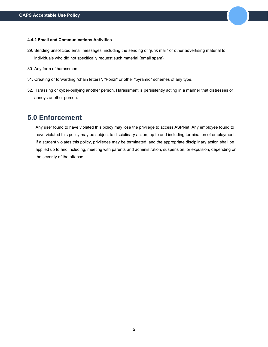#### **4.4.2 Email and Communications Activities**

- 29. Sending unsolicited email messages, including the sending of "junk mail" or other advertising material to individuals who did not specifically request such material (email spam).
- 30. Any form of harassment.
- 31. Creating or forwarding "chain letters", "Ponzi" or other "pyramid" schemes of any type.
- 32. Harassing or cyber-bullying another person. Harassment is persistently acting in a manner that distresses or annoys another person.

### **5.0 Enforcement**

Any user found to have violated this policy may lose the privilege to access ASPNet. Any employee found to have violated this policy may be subject to disciplinary action, up to and including termination of employment. If a student violates this policy, privileges may be terminated, and the appropriate disciplinary action shall be applied up to and including, meeting with parents and administration, suspension, or expulsion, depending on the severity of the offense.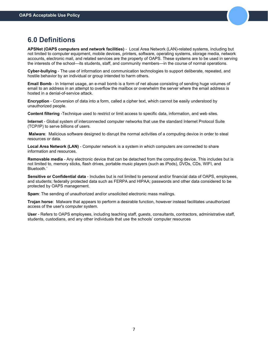### **6.0 Definitions**

**APSNet (OAPS computers and network facilities)** - Local Area Network (LAN)-related systems, including but not limited to computer equipment, mobile devices, printers, software, operating systems, storage media, network accounts, electronic mail, and related services are the property of OAPS. These systems are to be used in serving the interests of the school—its students, staff, and community members—in the course of normal operations.

**Cyber-bullying** - The use of information and communication technologies to support deliberate, repeated, and hostile behavior by an individual or group intended to harm others.

**Email Bomb** - In Internet usage, an e-mail bomb is a form of net abuse consisting of sending huge volumes of email to an address in an attempt to overflow the mailbox or overwhelm the server where the email address is hosted in a denial-of-service attack.

**Encryption** - Conversion of data into a form, called a cipher text, which cannot be easily understood by unauthorized people.

**Content filtering** -Technique used to restrict or limit access to specific data, information, and web sites.

**Internet** - Global system of interconnected computer networks that use the standard Internet Protocol Suite (TCP/IP) to serve billions of users.

**Malware**: Malicious software designed to disrupt the normal activities of a computing device in order to steal resources or data.

**Local Area Network (LAN)** - Computer network is a system in which computers are connected to share information and resources.

**Removable media** - Any electronic device that can be detached from the computing device. This includes but is not limited to, memory sticks, flash drives, portable music players (such as iPods), DVDs, CDs, WIFI, and Bluetooth.`

**Sensitive or Confidential data** - Includes but is not limited to personal and/or financial data of OAPS, employees, and students; federally protected data such as FERPA and HIPAA; passwords and other data considered to be protected by OAPS management.

**Spam**: The sending of unauthorized and/or unsolicited electronic mass mailings.

**Trojan horse**: Malware that appears to perform a desirable function, however instead facilitates unauthorized access of the user's computer system.

**User** - Refers to OAPS employees, including teaching staff, guests, consultants, contractors, administrative staff, students, custodians, and any other individuals that use the schools' computer resources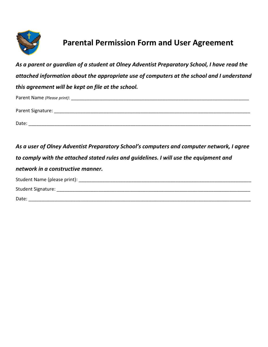

## **Parental Permission Form and User Agreement**

*As a parent or guardian of a student at Olney Adventist Preparatory School, I have read the attached information about the appropriate use of computers at the school and I understand this agreement will be kept on file at the school.* 

| Parent Name (Please print): |  |
|-----------------------------|--|
| Parent Signature:           |  |
| Date:                       |  |

*As a user of Olney Adventist Preparatory School's computers and computer network, I agree to comply with the attached stated rules and guidelines. I will use the equipment and network in a constructive manner.* Student Name (please print): \_\_\_\_\_\_\_\_\_\_\_\_\_\_\_\_\_\_\_\_\_\_\_\_\_\_\_\_\_\_\_\_\_\_\_\_\_\_\_\_\_\_\_\_\_\_\_\_\_\_\_\_\_\_\_\_\_\_\_\_\_\_\_\_\_\_ Student Signature: \_\_\_\_\_\_\_\_\_\_\_\_\_\_\_\_\_\_\_\_\_\_\_\_\_\_\_\_\_\_\_\_\_\_\_\_\_\_\_\_\_\_\_\_\_\_\_\_\_\_\_\_\_\_\_\_\_\_\_\_\_\_\_\_\_\_\_\_\_\_\_\_\_\_ Date: \_\_\_\_\_\_\_\_\_\_\_\_\_\_\_\_\_\_\_\_\_\_\_\_\_\_\_\_\_\_\_\_\_\_\_\_\_\_\_\_\_\_\_\_\_\_\_\_\_\_\_\_\_\_\_\_\_\_\_\_\_\_\_\_\_\_\_\_\_\_\_\_\_\_\_\_\_\_\_\_\_\_\_\_\_